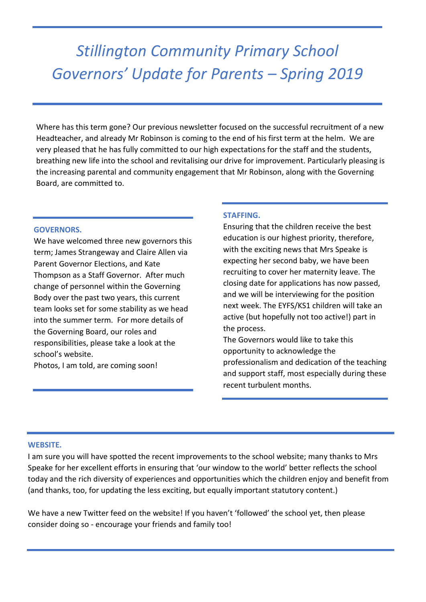# *Stillington Community Primary School Governors' Update for Parents – Spring 2019*

Where has this term gone? Our previous newsletter focused on the successful recruitment of a new Headteacher, and already Mr Robinson is coming to the end of his first term at the helm. We are very pleased that he has fully committed to our high expectations for the staff and the students, breathing new life into the school and revitalising our drive for improvement. Particularly pleasing is the increasing parental and community engagement that Mr Robinson, along with the Governing Board, are committed to.

# **GOVERNORS.**

We have welcomed three new governors this term; James Strangeway and Claire Allen via Parent Governor Elections, and Kate Thompson as a Staff Governor. After much change of personnel within the Governing Body over the past two years, this current team looks set for some stability as we head into the summer term. For more details of the Governing Board, our roles and responsibilities, please take a look at the school's website.

Photos, I am told, are coming soon!

### **STAFFING.**

Ensuring that the children receive the best education is our highest priority, therefore, with the exciting news that Mrs Speake is expecting her second baby, we have been recruiting to cover her maternity leave. The closing date for applications has now passed, and we will be interviewing for the position next week. The EYFS/KS1 children will take an active (but hopefully not too active!) part in the process.

The Governors would like to take this opportunity to acknowledge the professionalism and dedication of the teaching and support staff, most especially during these recent turbulent months.

### **WEBSITE.**

I am sure you will have spotted the recent improvements to the school website; many thanks to Mrs Speake for her excellent efforts in ensuring that 'our window to the world' better reflects the school today and the rich diversity of experiences and opportunities which the children enjoy and benefit from (and thanks, too, for updating the less exciting, but equally important statutory content.)

We have a new Twitter feed on the website! If you haven't 'followed' the school yet, then please consider doing so - encourage your friends and family too!